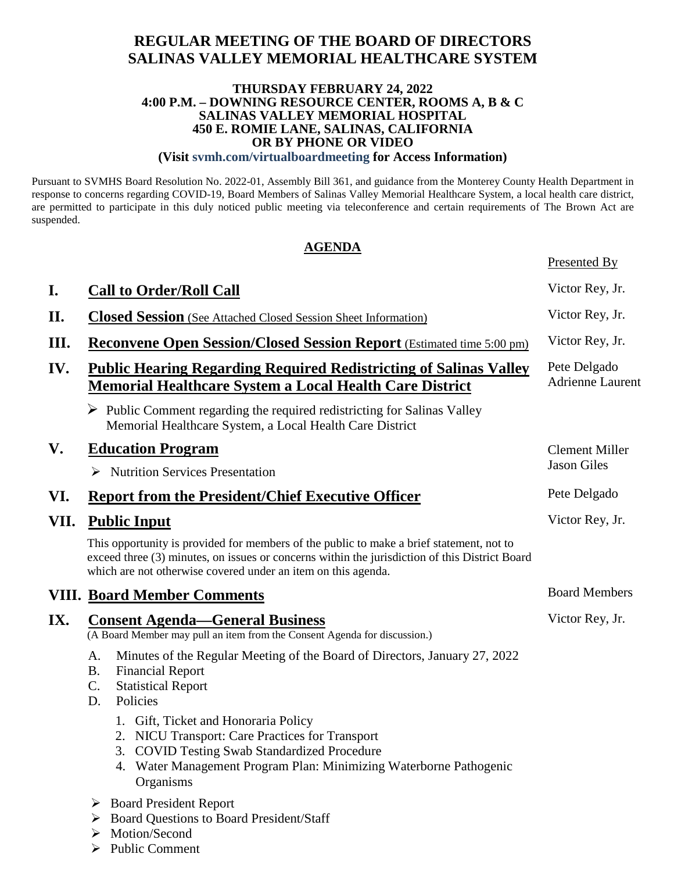# **REGULAR MEETING OF THE BOARD OF DIRECTORS SALINAS VALLEY MEMORIAL HEALTHCARE SYSTEM**

#### **THURSDAY FEBRUARY 24, 2022 4:00 P.M. – DOWNING RESOURCE CENTER, ROOMS A, B & C SALINAS VALLEY MEMORIAL HOSPITAL 450 E. ROMIE LANE, SALINAS, CALIFORNIA OR BY PHONE OR VIDEO**

#### **(Visit svmh.com/virtualboardmeeting for Access Information)**

Pursuant to SVMHS Board Resolution No. 2022-01, Assembly Bill 361, and guidance from the Monterey County Health Department in response to concerns regarding COVID-19, Board Members of Salinas Valley Memorial Healthcare System, a local health care district, are permitted to participate in this duly noticed public meeting via teleconference and certain requirements of The Brown Act are suspended.

### **AGENDA**

Presented By

| I.   | <b>Call to Order/Roll Call</b>                                                                                                                                                                                                                              | Victor Rey, Jr.                         |
|------|-------------------------------------------------------------------------------------------------------------------------------------------------------------------------------------------------------------------------------------------------------------|-----------------------------------------|
| II.  | <b>Closed Session</b> (See Attached Closed Session Sheet Information)                                                                                                                                                                                       | Victor Rey, Jr.                         |
| Ш.   | Reconvene Open Session/Closed Session Report (Estimated time 5:00 pm)                                                                                                                                                                                       | Victor Rey, Jr.                         |
| IV.  | <b>Public Hearing Regarding Required Redistricting of Salinas Valley</b><br><b>Memorial Healthcare System a Local Health Care District</b>                                                                                                                  | Pete Delgado<br><b>Adrienne Laurent</b> |
|      | $\triangleright$ Public Comment regarding the required redistricting for Salinas Valley<br>Memorial Healthcare System, a Local Health Care District                                                                                                         |                                         |
| V.   | <b>Education Program</b>                                                                                                                                                                                                                                    | <b>Clement Miller</b>                   |
|      | $\triangleright$ Nutrition Services Presentation                                                                                                                                                                                                            | <b>Jason Giles</b>                      |
| VI.  | <b>Report from the President/Chief Executive Officer</b>                                                                                                                                                                                                    | Pete Delgado                            |
| VII. | <b>Public Input</b>                                                                                                                                                                                                                                         | Victor Rey, Jr.                         |
|      | This opportunity is provided for members of the public to make a brief statement, not to<br>exceed three (3) minutes, on issues or concerns within the jurisdiction of this District Board<br>which are not otherwise covered under an item on this agenda. |                                         |
|      | <b>VIII. Board Member Comments</b>                                                                                                                                                                                                                          | <b>Board Members</b>                    |
| IX.  | <b>Consent Agenda—General Business</b><br>(A Board Member may pull an item from the Consent Agenda for discussion.)                                                                                                                                         | Victor Rey, Jr.                         |
|      | A.<br>Minutes of the Regular Meeting of the Board of Directors, January 27, 2022<br><b>B.</b><br><b>Financial Report</b><br>C.<br><b>Statistical Report</b><br>Policies<br>D.                                                                               |                                         |
|      | 1. Gift, Ticket and Honoraria Policy<br>2. NICU Transport: Care Practices for Transport<br>3. COVID Testing Swab Standardized Procedure<br>4. Water Management Program Plan: Minimizing Waterborne Pathogenic<br>Organisms                                  |                                         |
|      | $\triangleright$ Board President Report<br><b>Board Questions to Board President/Staff</b><br>➤<br>$\triangleright$ Motion/Second                                                                                                                           |                                         |

- $\triangleright$  Public Comment
-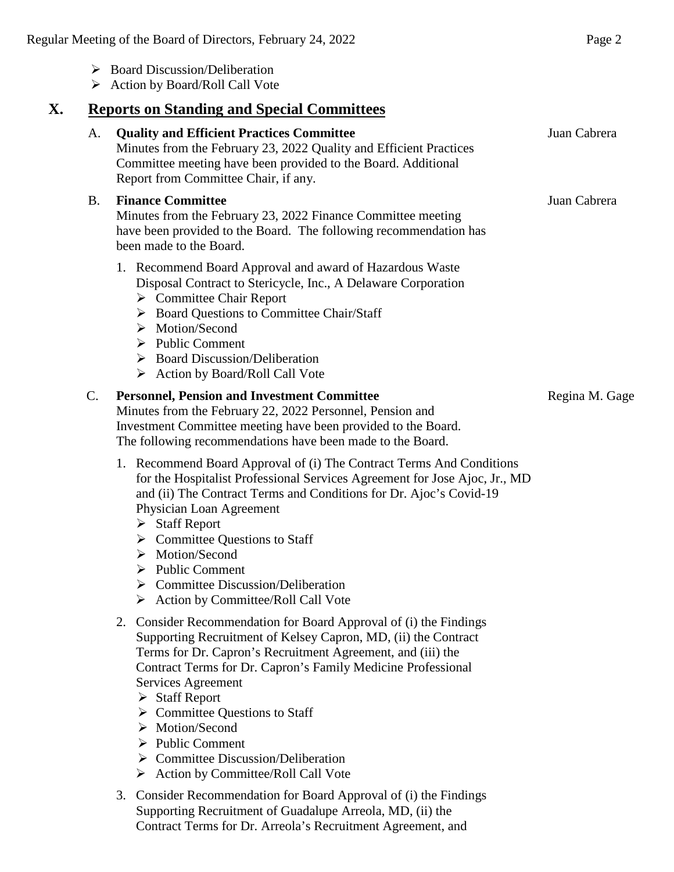|                 | <b>Reports on Standing and Special Committees</b>                                                                                                                                                                                                                                                                                                                                                                                                                                                                                                            |                |
|-----------------|--------------------------------------------------------------------------------------------------------------------------------------------------------------------------------------------------------------------------------------------------------------------------------------------------------------------------------------------------------------------------------------------------------------------------------------------------------------------------------------------------------------------------------------------------------------|----------------|
| A.              | <b>Quality and Efficient Practices Committee</b><br>Minutes from the February 23, 2022 Quality and Efficient Practices<br>Committee meeting have been provided to the Board. Additional<br>Report from Committee Chair, if any.                                                                                                                                                                                                                                                                                                                              | Juan Cabrera   |
| <b>B.</b>       | <b>Finance Committee</b><br>Minutes from the February 23, 2022 Finance Committee meeting<br>have been provided to the Board. The following recommendation has<br>been made to the Board.                                                                                                                                                                                                                                                                                                                                                                     | Juan Cabrera   |
|                 | 1. Recommend Board Approval and award of Hazardous Waste<br>Disposal Contract to Stericycle, Inc., A Delaware Corporation<br>$\triangleright$ Committee Chair Report<br>> Board Questions to Committee Chair/Staff<br>$\triangleright$ Motion/Second<br>$\triangleright$ Public Comment<br>$\triangleright$ Board Discussion/Deliberation<br>> Action by Board/Roll Call Vote                                                                                                                                                                                |                |
| $\mathcal{C}$ . | <b>Personnel, Pension and Investment Committee</b><br>Minutes from the February 22, 2022 Personnel, Pension and<br>Investment Committee meeting have been provided to the Board.<br>The following recommendations have been made to the Board.                                                                                                                                                                                                                                                                                                               | Regina M. Gage |
|                 | 1. Recommend Board Approval of (i) The Contract Terms And Conditions<br>for the Hospitalist Professional Services Agreement for Jose Ajoc, Jr., MD<br>and (ii) The Contract Terms and Conditions for Dr. Ajoc's Covid-19<br>Physician Loan Agreement<br>$\triangleright$ Staff Report<br>$\triangleright$ Committee Questions to Staff<br>$\triangleright$ Motion/Second<br>$\triangleright$ Public Comment<br>$\triangleright$ Committee Discussion/Deliberation<br>$\triangleright$ Action by Committee/Roll Call Vote                                     |                |
|                 | 2. Consider Recommendation for Board Approval of (i) the Findings<br>Supporting Recruitment of Kelsey Capron, MD, (ii) the Contract<br>Terms for Dr. Capron's Recruitment Agreement, and (iii) the<br>Contract Terms for Dr. Capron's Family Medicine Professional<br>Services Agreement<br>$\triangleright$ Staff Report<br>$\triangleright$ Committee Questions to Staff<br>$\triangleright$ Motion/Second<br>$\triangleright$ Public Comment<br>$\triangleright$ Committee Discussion/Deliberation<br>$\triangleright$ Action by Committee/Roll Call Vote |                |
|                 | 3. Consider Recommendation for Board Approval of (i) the Findings<br>Supporting Recruitment of Guadalupe Arreola, MD, (ii) the<br>Contract Terms for Dr. Arreola's Recruitment Agreement, and                                                                                                                                                                                                                                                                                                                                                                |                |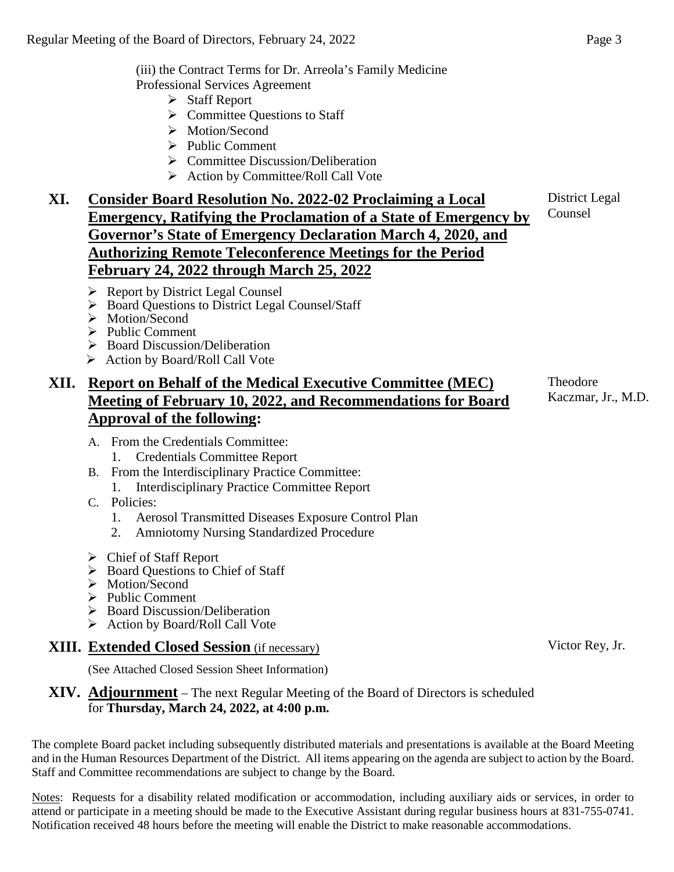(iii) the Contract Terms for Dr. Arreola's Family Medicine Professional Services Agreement

- $\triangleright$  Staff Report
- $\triangleright$  Committee Questions to Staff
- > Motion/Second
- $\triangleright$  Public Comment
- $\triangleright$  Committee Discussion/Deliberation
- $\triangleright$  Action by Committee/Roll Call Vote

# **XI. Consider Board Resolution No. 2022-02 Proclaiming a Local Emergency, Ratifying the Proclamation of a State of Emergency by Governor's State of Emergency Declaration March 4, 2020, and Authorizing Remote Teleconference Meetings for the Period February 24, 2022 through March 25, 2022**

- ▶ Report by District Legal Counsel
- ▶ Board Questions to District Legal Counsel/Staff
- > Motion/Second
- $\triangleright$  Public Comment
- $\triangleright$  Board Discussion/Deliberation
- Action by Board/Roll Call Vote

# **XII. Report on Behalf of the Medical Executive Committee (MEC) Meeting of February 10, 2022, and Recommendations for Board Approval of the following:**

- A. From the Credentials Committee:
	- 1. Credentials Committee Report
- B. From the Interdisciplinary Practice Committee: 1. Interdisciplinary Practice Committee Report
- C. Policies:
	- 1. Aerosol Transmitted Diseases Exposure Control Plan
	- 2. Amniotomy Nursing Standardized Procedure
- Chief of Staff Report
- Board Questions to Chief of Staff
- > Motion/Second
- $\triangleright$  Public Comment
- $\triangleright$  Board Discussion/Deliberation
- $\triangleright$  Action by Board/Roll Call Vote

# **XIII. Extended Closed Session** (if necessary)

(See Attached Closed Session Sheet Information)

## **XIV. Adjournment** – The next Regular Meeting of the Board of Directors is scheduled for **Thursday, March 24, 2022, at 4:00 p.m.**

The complete Board packet including subsequently distributed materials and presentations is available at the Board Meeting and in the Human Resources Department of the District. All items appearing on the agenda are subject to action by the Board. Staff and Committee recommendations are subject to change by the Board.

Notes: Requests for a disability related modification or accommodation, including auxiliary aids or services, in order to attend or participate in a meeting should be made to the Executive Assistant during regular business hours at 831-755-0741. Notification received 48 hours before the meeting will enable the District to make reasonable accommodations.

District Legal Counsel

Theodore Kaczmar, Jr., M.D.

Victor Rey, Jr.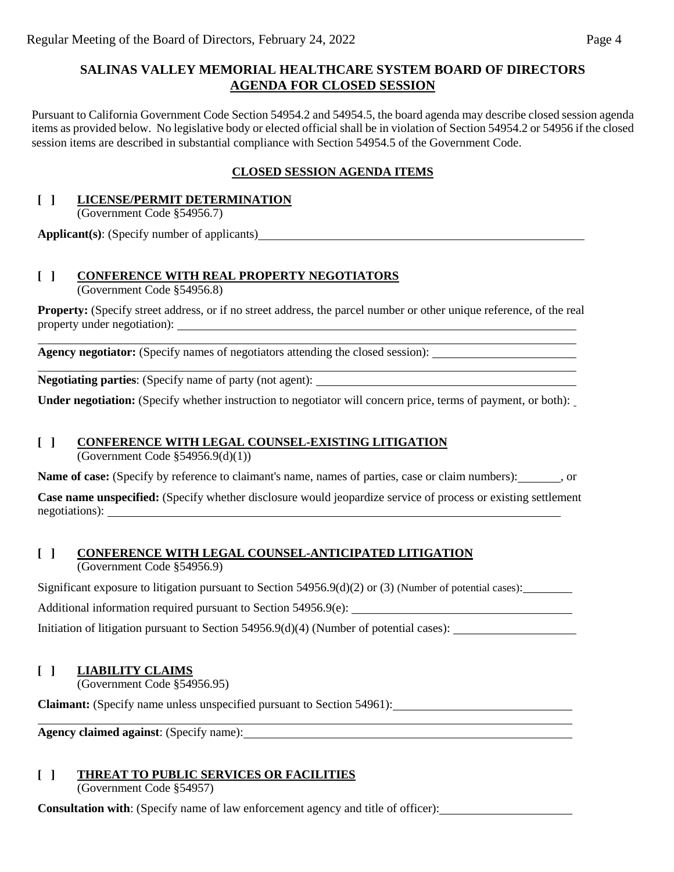## **SALINAS VALLEY MEMORIAL HEALTHCARE SYSTEM BOARD OF DIRECTORS AGENDA FOR CLOSED SESSION**

Pursuant to California Government Code Section 54954.2 and 54954.5, the board agenda may describe closed session agenda items as provided below. No legislative body or elected official shall be in violation of Section 54954.2 or 54956 if the closed session items are described in substantial compliance with Section 54954.5 of the Government Code.

## **CLOSED SESSION AGENDA ITEMS**

# **[ ] LICENSE/PERMIT DETERMINATION**

(Government Code §54956.7)

**Applicant(s)**: (Specify number of applicants)

## **[ ] CONFERENCE WITH REAL PROPERTY NEGOTIATORS**

(Government Code §54956.8)

**Property:** (Specify street address, or if no street address, the parcel number or other unique reference, of the real property under negotiation):

Agency negotiator: (Specify names of negotiators attending the closed session):

**Negotiating parties**: (Specify name of party (not agent):

**Under negotiation:** (Specify whether instruction to negotiator will concern price, terms of payment, or both):

# **[ ] CONFERENCE WITH LEGAL COUNSEL-EXISTING LITIGATION**

(Government Code §54956.9(d)(1))

**Name of case:** (Specify by reference to claimant's name, names of parties, case or claim numbers): , or

**Case name unspecified:** (Specify whether disclosure would jeopardize service of process or existing settlement negotiations):

#### **[ ] CONFERENCE WITH LEGAL COUNSEL-ANTICIPATED LITIGATION** (Government Code §54956.9)

Significant exposure to litigation pursuant to Section 54956.9(d)(2) or (3) (Number of potential cases):

Additional information required pursuant to Section 54956.9(e):

Initiation of litigation pursuant to Section 54956.9(d)(4) (Number of potential cases):

#### **[ ] LIABILITY CLAIMS**

(Government Code §54956.95)

**Claimant:** (Specify name unless unspecified pursuant to Section 54961):

**Agency claimed against**: (Specify name):

# **[ ] THREAT TO PUBLIC SERVICES OR FACILITIES**

(Government Code §54957)

**Consultation with**: (Specify name of law enforcement agency and title of officer):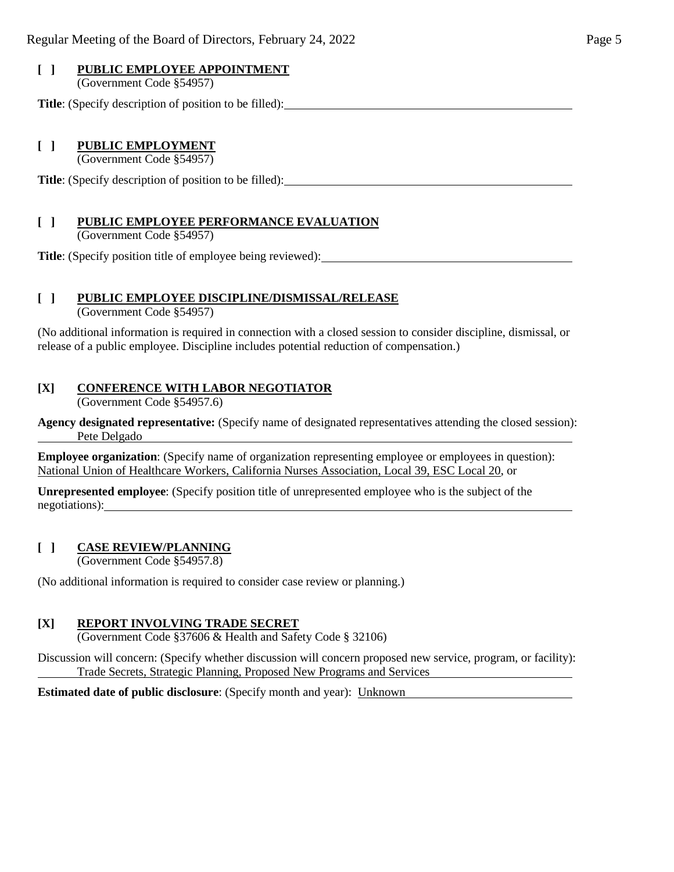# **[ ] PUBLIC EMPLOYEE APPOINTMENT**

(Government Code §54957)

**Title**: (Specify description of position to be filled):

## **[ ] PUBLIC EMPLOYMENT**

(Government Code §54957)

**Title**: (Specify description of position to be filled):

## **[ ] PUBLIC EMPLOYEE PERFORMANCE EVALUATION**

(Government Code §54957)

**Title**: (Specify position title of employee being reviewed):

#### **[ ] PUBLIC EMPLOYEE DISCIPLINE/DISMISSAL/RELEASE**

(Government Code §54957)

(No additional information is required in connection with a closed session to consider discipline, dismissal, or release of a public employee. Discipline includes potential reduction of compensation.)

#### **[X] CONFERENCE WITH LABOR NEGOTIATOR**

(Government Code §54957.6)

**Agency designated representative:** (Specify name of designated representatives attending the closed session): Pete Delgado

**Employee organization**: (Specify name of organization representing employee or employees in question): National Union of Healthcare Workers, California Nurses Association, Local 39, ESC Local 20, or

**Unrepresented employee**: (Specify position title of unrepresented employee who is the subject of the negotiations):

#### **[ ] CASE REVIEW/PLANNING**

(Government Code §54957.8)

(No additional information is required to consider case review or planning.)

#### **[X] REPORT INVOLVING TRADE SECRET**

(Government Code §37606 & Health and Safety Code § 32106)

Discussion will concern: (Specify whether discussion will concern proposed new service, program, or facility): Trade Secrets, Strategic Planning, Proposed New Programs and Services

**Estimated date of public disclosure**: (Specify month and year): Unknown